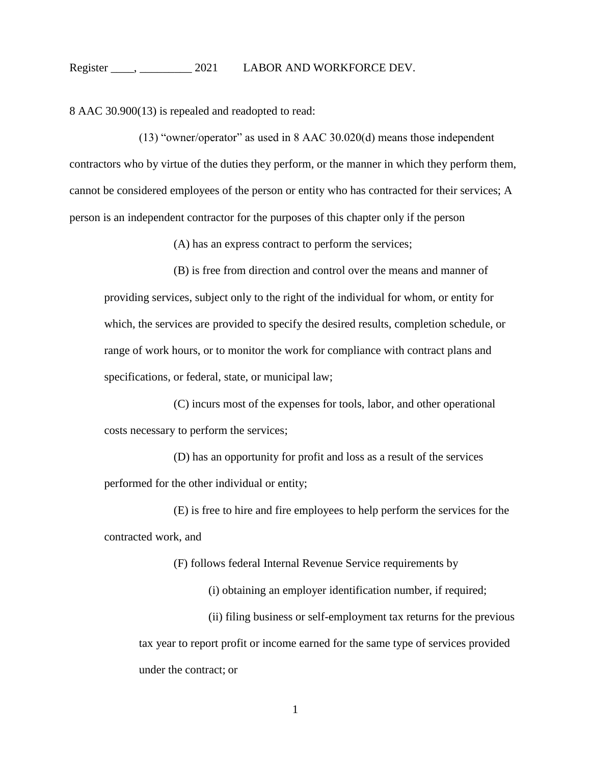8 AAC 30.900(13) is repealed and readopted to read:

(13) "owner/operator" as used in 8 AAC 30.020(d) means those independent contractors who by virtue of the duties they perform, or the manner in which they perform them, cannot be considered employees of the person or entity who has contracted for their services; A person is an independent contractor for the purposes of this chapter only if the person

(A) has an express contract to perform the services;

(B) is free from direction and control over the means and manner of providing services, subject only to the right of the individual for whom, or entity for which, the services are provided to specify the desired results, completion schedule, or range of work hours, or to monitor the work for compliance with contract plans and specifications, or federal, state, or municipal law;

(C) incurs most of the expenses for tools, labor, and other operational costs necessary to perform the services;

(D) has an opportunity for profit and loss as a result of the services performed for the other individual or entity;

(E) is free to hire and fire employees to help perform the services for the contracted work, and

(F) follows federal Internal Revenue Service requirements by

(i) obtaining an employer identification number, if required;

(ii) filing business or self-employment tax returns for the previous tax year to report profit or income earned for the same type of services provided under the contract; or

1